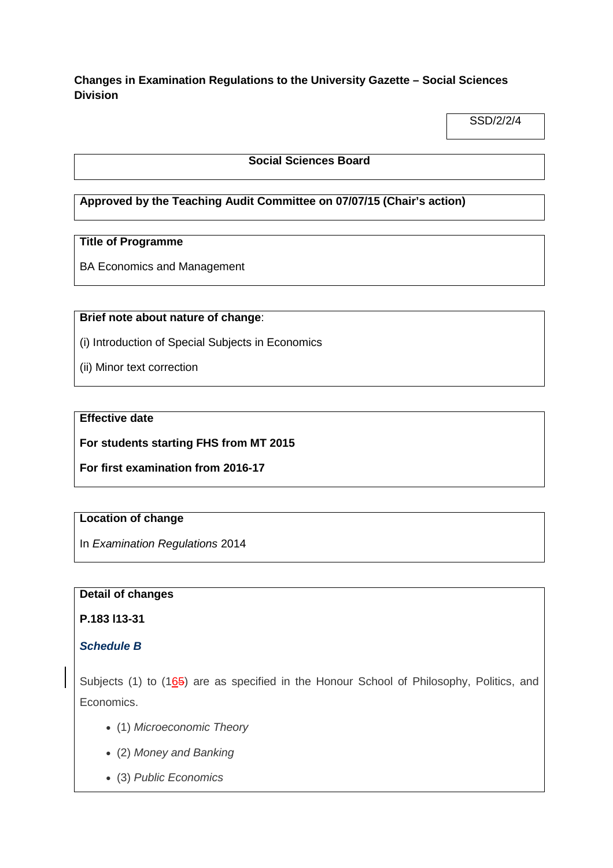# **Changes in Examination Regulations to the University Gazette – Social Sciences Division**

SSD/2/2/4

### **Social Sciences Board**

# **Approved by the Teaching Audit Committee on 07/07/15 (Chair's action)**

### **Title of Programme**

BA Economics and Management

#### **Brief note about nature of change**:

(i) Introduction of Special Subjects in Economics

(ii) Minor text correction

### **Effective date**

**For students starting FHS from MT 2015**

**For first examination from 2016-17**

### **Location of change**

In *Examination Regulations* 2014

### **Detail of changes**

## **P.183 l13-31**

### *Schedule B*

Subjects (1) to  $(165)$  are as specified in the Honour School of Philosophy, Politics, and Economics.

- (1) *Microeconomic Theory*
- (2) *Money and Banking*
- (3) *Public Economics*